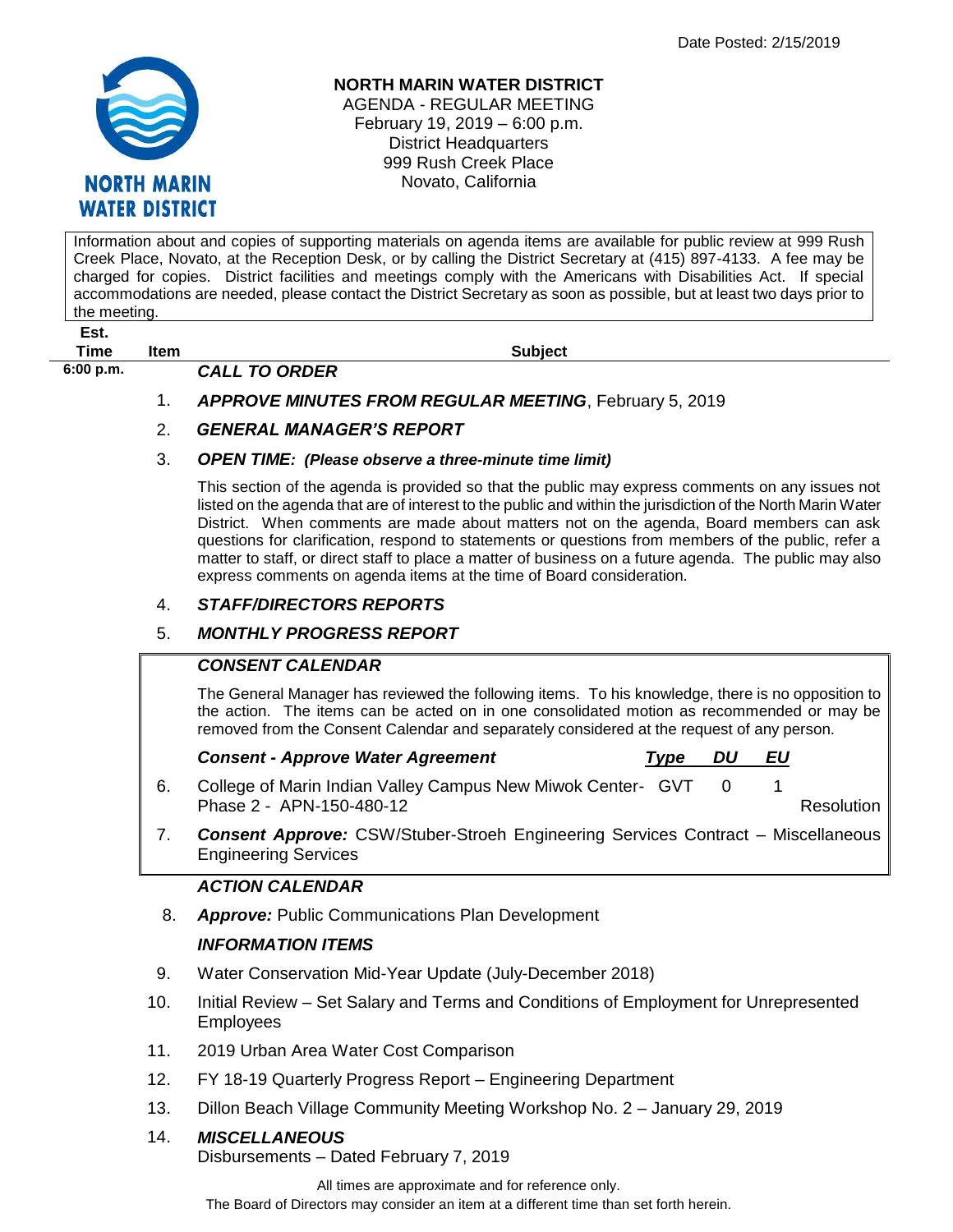

#### **NORTH MARIN WATER DISTRICT**

AGENDA - REGULAR MEETING February 19, 2019 – 6:00 p.m. District Headquarters 999 Rush Creek Place Novato, California

Information about and copies of supporting materials on agenda items are available for public review at 999 Rush Creek Place, Novato, at the Reception Desk, or by calling the District Secretary at (415) 897-4133. A fee may be charged for copies. District facilities and meetings comply with the Americans with Disabilities Act. If special accommodations are needed, please contact the District Secretary as soon as possible, but at least two days prior to the meeting.

**Est.**

**6:00 p.m.** *CALL TO ORDER* 

**Time Item Subject**

1. *APPROVE MINUTES FROM REGULAR MEETING*, February 5, 2019

### 2. *GENERAL MANAGER'S REPORT*

#### 3. *OPEN TIME: (Please observe a three-minute time limit)*

This section of the agenda is provided so that the public may express comments on any issues not listed on the agenda that are of interest to the public and within the jurisdiction of the North Marin Water District. When comments are made about matters not on the agenda, Board members can ask questions for clarification, respond to statements or questions from members of the public, refer a matter to staff, or direct staff to place a matter of business on a future agenda. The public may also express comments on agenda items at the time of Board consideration.

#### 4. *STAFF/DIRECTORS REPORTS*

#### 5. *MONTHLY PROGRESS REPORT*

#### *CONSENT CALENDAR*

The General Manager has reviewed the following items. To his knowledge, there is no opposition to the action. The items can be acted on in one consolidated motion as recommended or may be removed from the Consent Calendar and separately considered at the request of any person.

| <b>Consent - Approve Water Agreement</b>                    | Tvpe DU | EU |            |
|-------------------------------------------------------------|---------|----|------------|
| College of Marin Indian Valley Campus New Miwok Center- GVT |         |    |            |
| Phase 2 - APN-150-480-12                                    |         |    | Resolution |

7. *Consent Approve:* CSW/Stuber-Stroeh Engineering Services Contract – Miscellaneous Engineering Services

#### *ACTION CALENDAR*

8. *Approve:* Public Communications Plan Development

## *INFORMATION ITEMS*

- 9. Water Conservation Mid-Year Update (July-December 2018)
- 10. Initial Review Set Salary and Terms and Conditions of Employment for Unrepresented Employees
- 11. 2019 Urban Area Water Cost Comparison
- 12. FY 18-19 Quarterly Progress Report Engineering Department
- 13. Dillon Beach Village Community Meeting Workshop No. 2 January 29, 2019

#### 14. *MISCELLANEOUS*

Disbursements – Dated February 7, 2019

All times are approximate and for reference only.

The Board of Directors may consider an item at a different time than set forth herein.